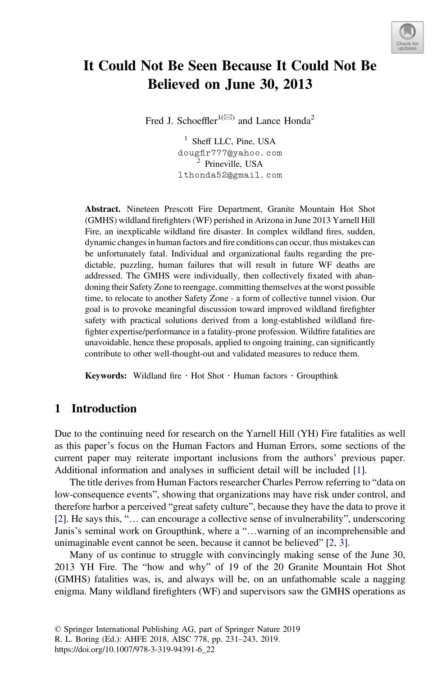

# It Could Not Be Seen Because It Could Not Be Believed on June 30, 2013

Fred J. Schoeffler<sup>1( $\boxtimes$ )</sup> and Lance Honda<sup>2</sup>

<sup>1</sup> Sheff LLC, Pine, USA dougfir777@yahoo.com <sup>2</sup> Prineville, USA lthonda52@gmail.com

Abstract. Nineteen Prescott Fire Department, Granite Mountain Hot Shot (GMHS) wildland firefighters (WF) perished in Arizona in June 2013 Yarnell Hill Fire, an inexplicable wildland fire disaster. In complex wildland fires, sudden, dynamic changes in human factors and fire conditions can occur, thus mistakes can be unfortunately fatal. Individual and organizational faults regarding the predictable, puzzling, human failures that will result in future WF deaths are addressed. The GMHS were individually, then collectively fixated with abandoning their Safety Zone to reengage, committing themselves at the worst possible time, to relocate to another Safety Zone - a form of collective tunnel vision. Our goal is to provoke meaningful discussion toward improved wildland firefighter safety with practical solutions derived from a long-established wildland firefighter expertise/performance in a fatality-prone profession. Wildfire fatalities are unavoidable, hence these proposals, applied to ongoing training, can significantly contribute to other well-thought-out and validated measures to reduce them.

Keywords: Wildland fire  $\cdot$  Hot Shot  $\cdot$  Human factors  $\cdot$  Groupthink

# 1 Introduction

Due to the continuing need for research on the Yarnell Hill (YH) Fire fatalities as well as this paper's focus on the Human Factors and Human Errors, some sections of the current paper may reiterate important inclusions from the authors' previous paper. Additional information and analyses in sufficient detail will be included [\[1](#page-11-0)].

The title derives from Human Factors researcher Charles Perrow referring to "data on low-consequence events", showing that organizations may have risk under control, and therefore harbor a perceived "great safety culture", because they have the data to prove it [\[2](#page-11-0)]. He says this, "… can encourage a collective sense of invulnerability", underscoring Janis's seminal work on Groupthink, where a "…warning of an incomprehensible and unimaginable event cannot be seen, because it cannot be believed" [\[2](#page-11-0), [3](#page-11-0)].

Many of us continue to struggle with convincingly making sense of the June 30, 2013 YH Fire. The "how and why" of 19 of the 20 Granite Mountain Hot Shot (GMHS) fatalities was, is, and always will be, on an unfathomable scale a nagging enigma. Many wildland firefighters (WF) and supervisors saw the GMHS operations as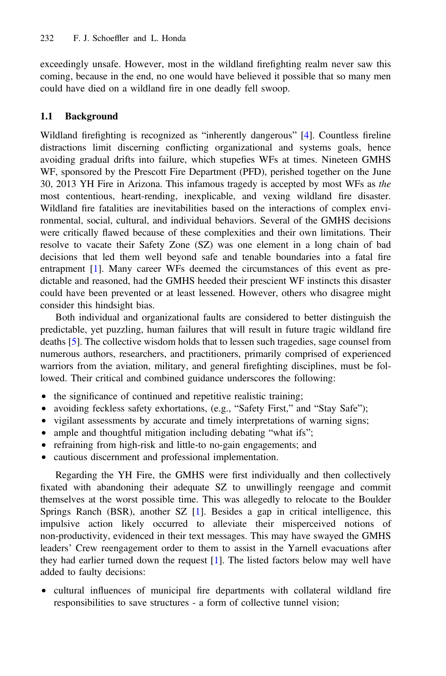exceedingly unsafe. However, most in the wildland firefighting realm never saw this coming, because in the end, no one would have believed it possible that so many men could have died on a wildland fire in one deadly fell swoop.

# 1.1 Background

Wildland firefighting is recognized as "inherently dangerous" [[4\]](#page-11-0). Countless fireline distractions limit discerning conflicting organizational and systems goals, hence avoiding gradual drifts into failure, which stupefies WFs at times. Nineteen GMHS WF, sponsored by the Prescott Fire Department (PFD), perished together on the June 30, 2013 YH Fire in Arizona. This infamous tragedy is accepted by most WFs as the most contentious, heart-rending, inexplicable, and vexing wildland fire disaster. Wildland fire fatalities are inevitabilities based on the interactions of complex environmental, social, cultural, and individual behaviors. Several of the GMHS decisions were critically flawed because of these complexities and their own limitations. Their resolve to vacate their Safety Zone (SZ) was one element in a long chain of bad decisions that led them well beyond safe and tenable boundaries into a fatal fire entrapment [[1\]](#page-11-0). Many career WFs deemed the circumstances of this event as predictable and reasoned, had the GMHS heeded their prescient WF instincts this disaster could have been prevented or at least lessened. However, others who disagree might consider this hindsight bias.

Both individual and organizational faults are considered to better distinguish the predictable, yet puzzling, human failures that will result in future tragic wildland fire deaths [[5\]](#page-11-0). The collective wisdom holds that to lessen such tragedies, sage counsel from numerous authors, researchers, and practitioners, primarily comprised of experienced warriors from the aviation, military, and general firefighting disciplines, must be followed. Their critical and combined guidance underscores the following:

- the significance of continued and repetitive realistic training;
- avoiding feckless safety exhortations, (e.g., "Safety First," and "Stay Safe");
- vigilant assessments by accurate and timely interpretations of warning signs;
- ample and thoughtful mitigation including debating "what ifs";
- refraining from high-risk and little-to no-gain engagements; and
- cautious discernment and professional implementation.

Regarding the YH Fire, the GMHS were first individually and then collectively fixated with abandoning their adequate SZ to unwillingly reengage and commit themselves at the worst possible time. This was allegedly to relocate to the Boulder Springs Ranch (BSR), another SZ [[1\]](#page-11-0). Besides a gap in critical intelligence, this impulsive action likely occurred to alleviate their misperceived notions of non-productivity, evidenced in their text messages. This may have swayed the GMHS leaders' Crew reengagement order to them to assist in the Yarnell evacuations after they had earlier turned down the request [[1\]](#page-11-0). The listed factors below may well have added to faulty decisions:

• cultural influences of municipal fire departments with collateral wildland fire responsibilities to save structures - a form of collective tunnel vision;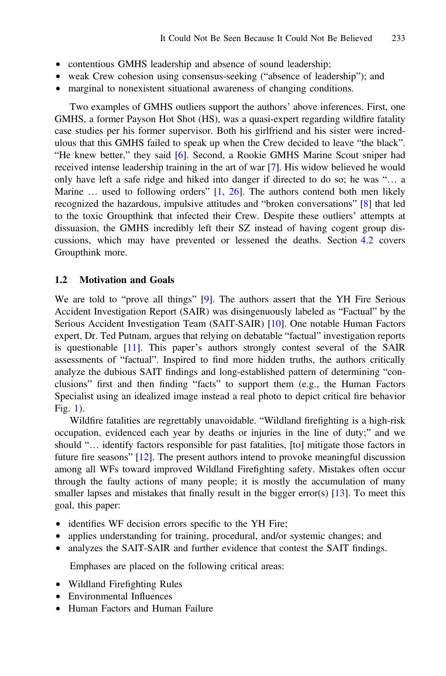- contentious GMHS leadership and absence of sound leadership;
- weak Crew cohesion using consensus-seeking ("absence of leadership"); and
- marginal to nonexistent situational awareness of changing conditions.

Two examples of GMHS outliers support the authors' above inferences. First, one GMHS, a former Payson Hot Shot (HS), was a quasi-expert regarding wildfire fatality case studies per his former supervisor. Both his girlfriend and his sister were incredulous that this GMHS failed to speak up when the Crew decided to leave "the black". "He knew better," they said [[6\]](#page-11-0). Second, a Rookie GMHS Marine Scout sniper had received intense leadership training in the art of war [[7](#page-11-0)]. His widow believed he would only have left a safe ridge and hiked into danger if directed to do so; he was "… a Marine ... used to following orders" [\[1](#page-11-0), [26\]](#page-12-0). The authors contend both men likely recognized the hazardous, impulsive attitudes and "broken conversations" [\[8](#page-11-0)] that led to the toxic Groupthink that infected their Crew. Despite these outliers' attempts at dissuasion, the GMHS incredibly left their SZ instead of having cogent group discussions, which may have prevented or lessened the deaths. Section [4.2](#page-6-0) covers Groupthink more.

#### 1.2 Motivation and Goals

We are told to "prove all things" [\[9](#page-11-0)]. The authors assert that the YH Fire Serious Accident Investigation Report (SAIR) was disingenuously labeled as "Factual" by the Serious Accident Investigation Team (SAIT-SAIR) [\[10\]](#page-11-0). One notable Human Factors expert, Dr. Ted Putnam, argues that relying on debatable "factual" investigation reports is questionable [\[11](#page-11-0)]. This paper's authors strongly contest several of the SAIR assessments of "factual". Inspired to find more hidden truths, the authors critically analyze the dubious SAIT findings and long-established pattern of determining "conclusions" first and then finding "facts" to support them (e.g., the Human Factors Specialist using an idealized image instead a real photo to depict critical fire behavior Fig. [1\)](#page-9-0).

Wildfire fatalities are regrettably unavoidable. "Wildland firefighting is a high-risk occupation, evidenced each year by deaths or injuries in the line of duty;" and we should "… identify factors responsible for past fatalities, [to] mitigate those factors in future fire seasons" [[12\]](#page-11-0). The present authors intend to provoke meaningful discussion among all WFs toward improved Wildland Firefighting safety. Mistakes often occur through the faulty actions of many people; it is mostly the accumulation of many smaller lapses and mistakes that finally result in the bigger error(s) [\[13](#page-11-0)]. To meet this goal, this paper:

- identifies WF decision errors specific to the YH Fire;
- applies understanding for training, procedural, and/or systemic changes; and
- analyzes the SAIT-SAIR and further evidence that contest the SAIT findings.

Emphases are placed on the following critical areas:

- Wildland Firefighting Rules
- Environmental Influences
- Human Factors and Human Failure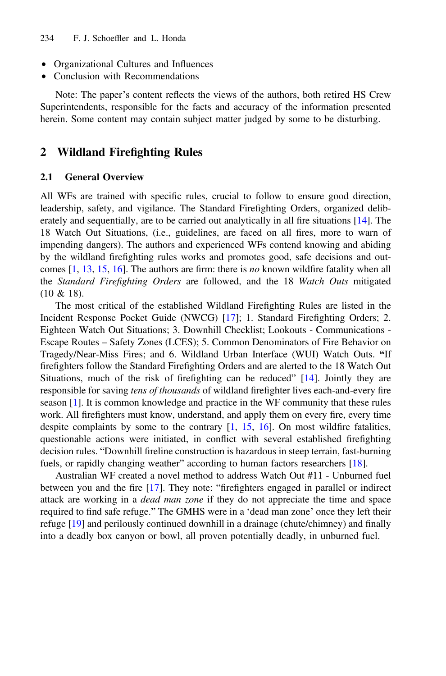- Organizational Cultures and Influences
- Conclusion with Recommendations

Note: The paper's content reflects the views of the authors, both retired HS Crew Superintendents, responsible for the facts and accuracy of the information presented herein. Some content may contain subject matter judged by some to be disturbing.

# 2 Wildland Firefighting Rules

#### 2.1 General Overview

All WFs are trained with specific rules, crucial to follow to ensure good direction, leadership, safety, and vigilance. The Standard Firefighting Orders, organized deliberately and sequentially, are to be carried out analytically in all fire situations [[14\]](#page-11-0). The 18 Watch Out Situations, (i.e., guidelines, are faced on all fires, more to warn of impending dangers). The authors and experienced WFs contend knowing and abiding by the wildland firefighting rules works and promotes good, safe decisions and outcomes  $[1, 13, 15, 16]$  $[1, 13, 15, 16]$  $[1, 13, 15, 16]$  $[1, 13, 15, 16]$  $[1, 13, 15, 16]$  $[1, 13, 15, 16]$  $[1, 13, 15, 16]$  $[1, 13, 15, 16]$ . The authors are firm: there is no known wildfire fatality when all the Standard Firefighting Orders are followed, and the 18 Watch Outs mitigated (10 & 18).

The most critical of the established Wildland Firefighting Rules are listed in the Incident Response Pocket Guide (NWCG) [\[17](#page-11-0)]; 1. Standard Firefighting Orders; 2. Eighteen Watch Out Situations; 3. Downhill Checklist; Lookouts - Communications - Escape Routes – Safety Zones (LCES); 5. Common Denominators of Fire Behavior on Tragedy/Near-Miss Fires; and 6. Wildland Urban Interface (WUI) Watch Outs. "If firefighters follow the Standard Firefighting Orders and are alerted to the 18 Watch Out Situations, much of the risk of firefighting can be reduced" [[14\]](#page-11-0). Jointly they are responsible for saving tens of thousands of wildland firefighter lives each-and-every fire season [[1\]](#page-11-0). It is common knowledge and practice in the WF community that these rules work. All firefighters must know, understand, and apply them on every fire, every time despite complaints by some to the contrary [[1,](#page-11-0) [15](#page-11-0), [16\]](#page-11-0). On most wildfire fatalities, questionable actions were initiated, in conflict with several established firefighting decision rules. "Downhill fireline construction is hazardous in steep terrain, fast-burning fuels, or rapidly changing weather" according to human factors researchers [\[18](#page-11-0)].

Australian WF created a novel method to address Watch Out #11 - Unburned fuel between you and the fire [\[17](#page-11-0)]. They note: "firefighters engaged in parallel or indirect attack are working in a dead man zone if they do not appreciate the time and space required to find safe refuge." The GMHS were in a 'dead man zone' once they left their refuge [\[19](#page-12-0)] and perilously continued downhill in a drainage (chute/chimney) and finally into a deadly box canyon or bowl, all proven potentially deadly, in unburned fuel.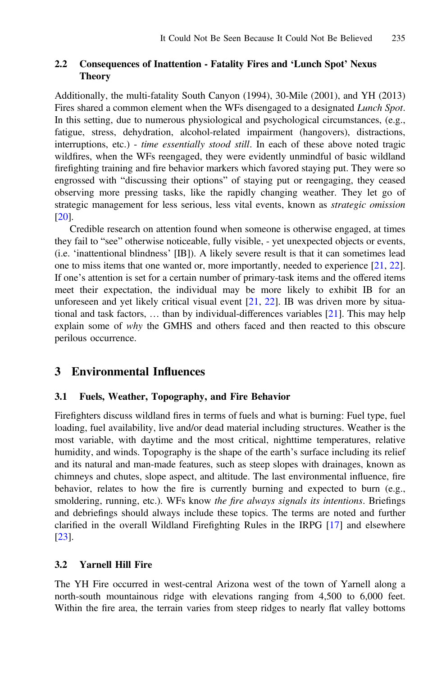# 2.2 Consequences of Inattention - Fatality Fires and 'Lunch Spot' Nexus Theory

Additionally, the multi-fatality South Canyon (1994), 30-Mile (2001), and YH (2013) Fires shared a common element when the WFs disengaged to a designated Lunch Spot. In this setting, due to numerous physiological and psychological circumstances, (e.g., fatigue, stress, dehydration, alcohol-related impairment (hangovers), distractions, interruptions, etc.) - *time essentially stood still*. In each of these above noted tragic wildfires, when the WFs reengaged, they were evidently unmindful of basic wildland firefighting training and fire behavior markers which favored staying put. They were so engrossed with "discussing their options" of staying put or reengaging, they ceased observing more pressing tasks, like the rapidly changing weather. They let go of strategic management for less serious, less vital events, known as strategic omission [\[20](#page-12-0)].

Credible research on attention found when someone is otherwise engaged, at times they fail to "see" otherwise noticeable, fully visible, - yet unexpected objects or events, (i.e. 'inattentional blindness' [IB]). A likely severe result is that it can sometimes lead one to miss items that one wanted or, more importantly, needed to experience [[21,](#page-12-0) [22\]](#page-12-0). If one's attention is set for a certain number of primary-task items and the offered items meet their expectation, the individual may be more likely to exhibit IB for an unforeseen and yet likely critical visual event [\[21](#page-12-0), [22\]](#page-12-0). IB was driven more by situational and task factors, … than by individual-differences variables [[21\]](#page-12-0). This may help explain some of why the GMHS and others faced and then reacted to this obscure perilous occurrence.

# 3 Environmental Influences

# 3.1 Fuels, Weather, Topography, and Fire Behavior

Firefighters discuss wildland fires in terms of fuels and what is burning: Fuel type, fuel loading, fuel availability, live and/or dead material including structures. Weather is the most variable, with daytime and the most critical, nighttime temperatures, relative humidity, and winds. Topography is the shape of the earth's surface including its relief and its natural and man-made features, such as steep slopes with drainages, known as chimneys and chutes, slope aspect, and altitude. The last environmental influence, fire behavior, relates to how the fire is currently burning and expected to burn (e.g., smoldering, running, etc.). WFs know the fire always signals its intentions. Briefings and debriefings should always include these topics. The terms are noted and further clarified in the overall Wildland Firefighting Rules in the IRPG [[17\]](#page-11-0) and elsewhere [\[23](#page-12-0)].

# 3.2 Yarnell Hill Fire

The YH Fire occurred in west-central Arizona west of the town of Yarnell along a north-south mountainous ridge with elevations ranging from 4,500 to 6,000 feet. Within the fire area, the terrain varies from steep ridges to nearly flat valley bottoms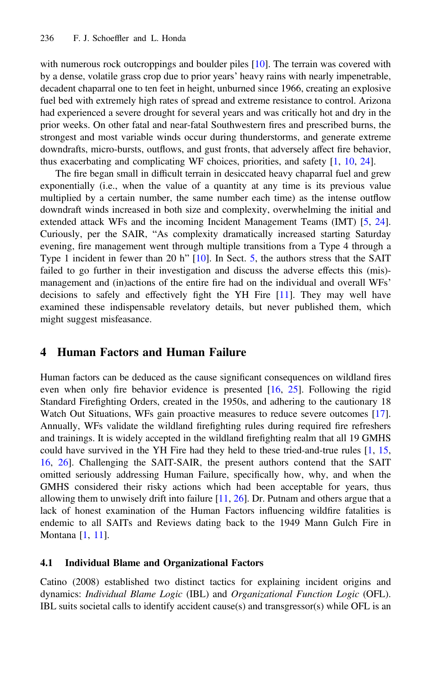with numerous rock outcroppings and boulder piles [\[10](#page-11-0)]. The terrain was covered with by a dense, volatile grass crop due to prior years' heavy rains with nearly impenetrable, decadent chaparral one to ten feet in height, unburned since 1966, creating an explosive fuel bed with extremely high rates of spread and extreme resistance to control. Arizona had experienced a severe drought for several years and was critically hot and dry in the prior weeks. On other fatal and near-fatal Southwestern fires and prescribed burns, the strongest and most variable winds occur during thunderstorms, and generate extreme downdrafts, micro-bursts, outflows, and gust fronts, that adversely affect fire behavior, thus exacerbating and complicating WF choices, priorities, and safety [\[1](#page-11-0), [10](#page-11-0), [24](#page-12-0)].

The fire began small in difficult terrain in desiccated heavy chaparral fuel and grew exponentially (i.e., when the value of a quantity at any time is its previous value multiplied by a certain number, the same number each time) as the intense outflow downdraft winds increased in both size and complexity, overwhelming the initial and extended attack WFs and the incoming Incident Management Teams (IMT) [\[5](#page-11-0), [24\]](#page-12-0). Curiously, per the SAIR, "As complexity dramatically increased starting Saturday evening, fire management went through multiple transitions from a Type 4 through a Type 1 incident in fewer than 20 h" [\[10](#page-11-0)]. In Sect. [5](#page-8-0), the authors stress that the SAIT failed to go further in their investigation and discuss the adverse effects this (mis) management and (in)actions of the entire fire had on the individual and overall WFs' decisions to safely and effectively fight the YH Fire [\[11](#page-11-0)]. They may well have examined these indispensable revelatory details, but never published them, which might suggest misfeasance.

# 4 Human Factors and Human Failure

Human factors can be deduced as the cause significant consequences on wildland fires even when only fire behavior evidence is presented [[16,](#page-11-0) [25\]](#page-12-0). Following the rigid Standard Firefighting Orders, created in the 1950s, and adhering to the cautionary 18 Watch Out Situations, WFs gain proactive measures to reduce severe outcomes [[17\]](#page-11-0). Annually, WFs validate the wildland firefighting rules during required fire refreshers and trainings. It is widely accepted in the wildland firefighting realm that all 19 GMHS could have survived in the YH Fire had they held to these tried-and-true rules [\[1](#page-11-0), [15](#page-11-0), [16,](#page-11-0) [26](#page-12-0)]. Challenging the SAIT-SAIR, the present authors contend that the SAIT omitted seriously addressing Human Failure, specifically how, why, and when the GMHS considered their risky actions which had been acceptable for years, thus allowing them to unwisely drift into failure  $[11, 26]$  $[11, 26]$  $[11, 26]$  $[11, 26]$ . Dr. Putnam and others argue that a lack of honest examination of the Human Factors influencing wildfire fatalities is endemic to all SAITs and Reviews dating back to the 1949 Mann Gulch Fire in Montana [\[1](#page-11-0), [11](#page-11-0)].

#### 4.1 Individual Blame and Organizational Factors

Catino (2008) established two distinct tactics for explaining incident origins and dynamics: Individual Blame Logic (IBL) and Organizational Function Logic (OFL). IBL suits societal calls to identify accident cause(s) and transgressor(s) while OFL is an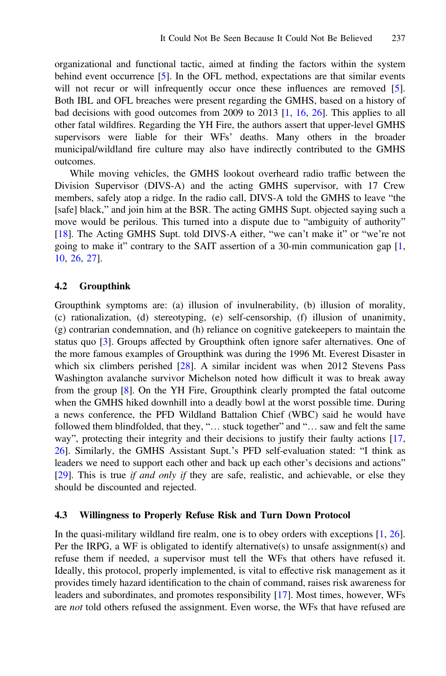<span id="page-6-0"></span>organizational and functional tactic, aimed at finding the factors within the system behind event occurrence [[5\]](#page-11-0). In the OFL method, expectations are that similar events will not recur or will infrequently occur once these influences are removed [[5\]](#page-11-0). Both IBL and OFL breaches were present regarding the GMHS, based on a history of bad decisions with good outcomes from 2009 to 2013 [[1,](#page-11-0) [16,](#page-11-0) [26](#page-12-0)]. This applies to all other fatal wildfires. Regarding the YH Fire, the authors assert that upper-level GMHS supervisors were liable for their WFs' deaths. Many others in the broader municipal/wildland fire culture may also have indirectly contributed to the GMHS outcomes.

While moving vehicles, the GMHS lookout overheard radio traffic between the Division Supervisor (DIVS-A) and the acting GMHS supervisor, with 17 Crew members, safely atop a ridge. In the radio call, DIVS-A told the GMHS to leave "the [safe] black," and join him at the BSR. The acting GMHS Supt. objected saying such a move would be perilous. This turned into a dispute due to "ambiguity of authority" [\[18](#page-11-0)]. The Acting GMHS Supt. told DIVS-A either, "we can't make it" or "we're not going to make it" contrary to the SAIT assertion of a 30-min communication gap  $[1, 1]$  $[1, 1]$ [10,](#page-11-0) [26,](#page-12-0) [27](#page-12-0)].

#### 4.2 Groupthink

Groupthink symptoms are: (a) illusion of invulnerability, (b) illusion of morality, (c) rationalization, (d) stereotyping, (e) self-censorship, (f) illusion of unanimity, (g) contrarian condemnation, and (h) reliance on cognitive gatekeepers to maintain the status quo [\[3](#page-11-0)]. Groups affected by Groupthink often ignore safer alternatives. One of the more famous examples of Groupthink was during the 1996 Mt. Everest Disaster in which six climbers perished [[28\]](#page-12-0). A similar incident was when 2012 Stevens Pass Washington avalanche survivor Michelson noted how difficult it was to break away from the group [\[8](#page-11-0)]. On the YH Fire, Groupthink clearly prompted the fatal outcome when the GMHS hiked downhill into a deadly bowl at the worst possible time. During a news conference, the PFD Wildland Battalion Chief (WBC) said he would have followed them blindfolded, that they, "... stuck together" and "... saw and felt the same way", protecting their integrity and their decisions to justify their faulty actions [\[17](#page-11-0), [26\]](#page-12-0). Similarly, the GMHS Assistant Supt.'s PFD self-evaluation stated: "I think as leaders we need to support each other and back up each other's decisions and actions" [\[29](#page-12-0)]. This is true *if and only if they are safe*, realistic, and achievable, or else they should be discounted and rejected.

#### 4.3 Willingness to Properly Refuse Risk and Turn Down Protocol

In the quasi-military wildland fire realm, one is to obey orders with exceptions [[1,](#page-11-0) [26\]](#page-12-0). Per the IRPG, a WF is obligated to identify alternative(s) to unsafe assignment(s) and refuse them if needed, a supervisor must tell the WFs that others have refused it. Ideally, this protocol, properly implemented, is vital to effective risk management as it provides timely hazard identification to the chain of command, raises risk awareness for leaders and subordinates, and promotes responsibility [\[17](#page-11-0)]. Most times, however, WFs are *not* told others refused the assignment. Even worse, the WFs that have refused are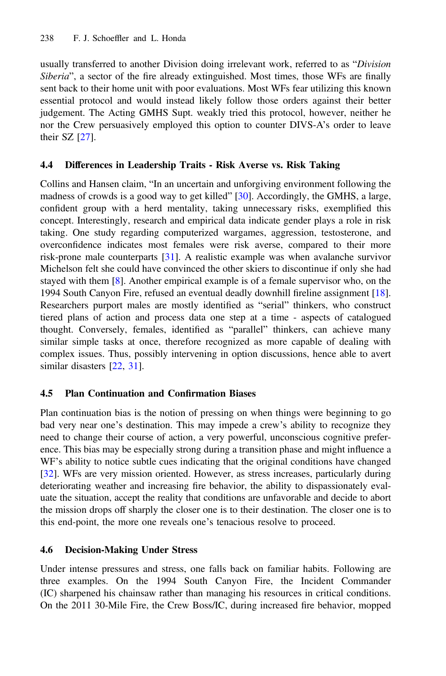usually transferred to another Division doing irrelevant work, referred to as "Division Siberia", a sector of the fire already extinguished. Most times, those WFs are finally sent back to their home unit with poor evaluations. Most WFs fear utilizing this known essential protocol and would instead likely follow those orders against their better judgement. The Acting GMHS Supt. weakly tried this protocol, however, neither he nor the Crew persuasively employed this option to counter DIVS-A's order to leave their SZ  $[27]$  $[27]$ .

# 4.4 Differences in Leadership Traits - Risk Averse vs. Risk Taking

Collins and Hansen claim, "In an uncertain and unforgiving environment following the madness of crowds is a good way to get killed" [[30\]](#page-12-0). Accordingly, the GMHS, a large, confident group with a herd mentality, taking unnecessary risks, exemplified this concept. Interestingly, research and empirical data indicate gender plays a role in risk taking. One study regarding computerized wargames, aggression, testosterone, and overconfidence indicates most females were risk averse, compared to their more risk-prone male counterparts [[31\]](#page-12-0). A realistic example was when avalanche survivor Michelson felt she could have convinced the other skiers to discontinue if only she had stayed with them [[8\]](#page-11-0). Another empirical example is of a female supervisor who, on the 1994 South Canyon Fire, refused an eventual deadly downhill fireline assignment [[18\]](#page-11-0). Researchers purport males are mostly identified as "serial" thinkers, who construct tiered plans of action and process data one step at a time - aspects of catalogued thought. Conversely, females, identified as "parallel" thinkers, can achieve many similar simple tasks at once, therefore recognized as more capable of dealing with complex issues. Thus, possibly intervening in option discussions, hence able to avert similar disasters [[22,](#page-12-0) [31](#page-12-0)].

# 4.5 Plan Continuation and Confirmation Biases

Plan continuation bias is the notion of pressing on when things were beginning to go bad very near one's destination. This may impede a crew's ability to recognize they need to change their course of action, a very powerful, unconscious cognitive preference. This bias may be especially strong during a transition phase and might influence a WF's ability to notice subtle cues indicating that the original conditions have changed [[32\]](#page-12-0). WFs are very mission oriented. However, as stress increases, particularly during deteriorating weather and increasing fire behavior, the ability to dispassionately evaluate the situation, accept the reality that conditions are unfavorable and decide to abort the mission drops off sharply the closer one is to their destination. The closer one is to this end-point, the more one reveals one's tenacious resolve to proceed.

# 4.6 Decision-Making Under Stress

Under intense pressures and stress, one falls back on familiar habits. Following are three examples. On the 1994 South Canyon Fire, the Incident Commander (IC) sharpened his chainsaw rather than managing his resources in critical conditions. On the 2011 30-Mile Fire, the Crew Boss/IC, during increased fire behavior, mopped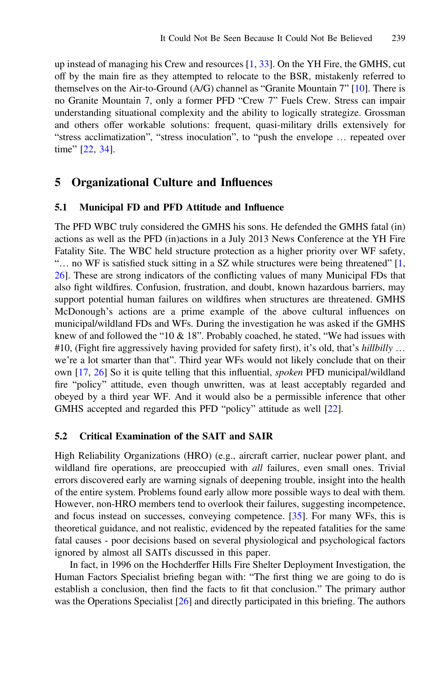<span id="page-8-0"></span>up instead of managing his Crew and resources [[1,](#page-11-0) [33](#page-12-0)]. On the YH Fire, the GMHS, cut off by the main fire as they attempted to relocate to the BSR, mistakenly referred to themselves on the Air-to-Ground (A/G) channel as "Granite Mountain 7" [[10](#page-11-0)]. There is no Granite Mountain 7, only a former PFD "Crew 7" Fuels Crew. Stress can impair understanding situational complexity and the ability to logically strategize. Grossman and others offer workable solutions: frequent, quasi-military drills extensively for "stress acclimatization", "stress inoculation", to "push the envelope … repeated over time" [\[22](#page-12-0), [34\]](#page-12-0).

# 5 Organizational Culture and Influences

#### 5.1 Municipal FD and PFD Attitude and Influence

The PFD WBC truly considered the GMHS his sons. He defended the GMHS fatal (in) actions as well as the PFD (in)actions in a July 2013 News Conference at the YH Fire Fatality Site. The WBC held structure protection as a higher priority over WF safety, "... no WF is satisfied stuck sitting in a SZ while structures were being threatened" [\[1](#page-11-0), [26\]](#page-12-0). These are strong indicators of the conflicting values of many Municipal FDs that also fight wildfires. Confusion, frustration, and doubt, known hazardous barriers, may support potential human failures on wildfires when structures are threatened. GMHS McDonough's actions are a prime example of the above cultural influences on municipal/wildland FDs and WFs. During the investigation he was asked if the GMHS knew of and followed the "10  $\&$  18". Probably coached, he stated, "We had issues with #10, (Fight fire aggressively having provided for safety first), it's old, that's hillbilly ... we're a lot smarter than that". Third year WFs would not likely conclude that on their own [\[17](#page-11-0), [26\]](#page-12-0) So it is quite telling that this influential, spoken PFD municipal/wildland fire "policy" attitude, even though unwritten, was at least acceptably regarded and obeyed by a third year WF. And it would also be a permissible inference that other GMHS accepted and regarded this PFD "policy" attitude as well [[22\]](#page-12-0).

#### 5.2 Critical Examination of the SAIT and SAIR

High Reliability Organizations (HRO) (e.g., aircraft carrier, nuclear power plant, and wildland fire operations, are preoccupied with all failures, even small ones. Trivial errors discovered early are warning signals of deepening trouble, insight into the health of the entire system. Problems found early allow more possible ways to deal with them. However, non-HRO members tend to overlook their failures, suggesting incompetence, and focus instead on successes, conveying competence. [[35\]](#page-12-0). For many WFs, this is theoretical guidance, and not realistic, evidenced by the repeated fatalities for the same fatal causes - poor decisions based on several physiological and psychological factors ignored by almost all SAITs discussed in this paper.

In fact, in 1996 on the Hochderffer Hills Fire Shelter Deployment Investigation, the Human Factors Specialist briefing began with: "The first thing we are going to do is establish a conclusion, then find the facts to fit that conclusion." The primary author was the Operations Specialist [\[26](#page-12-0)] and directly participated in this briefing. The authors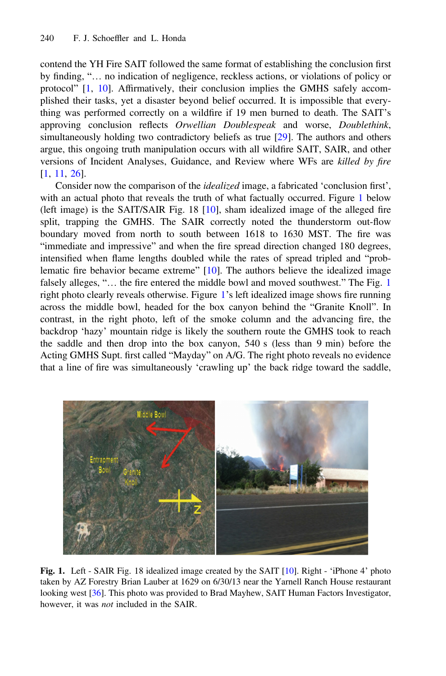<span id="page-9-0"></span>contend the YH Fire SAIT followed the same format of establishing the conclusion first by finding, "… no indication of negligence, reckless actions, or violations of policy or protocol" [[1,](#page-11-0) [10](#page-11-0)]. Affirmatively, their conclusion implies the GMHS safely accomplished their tasks, yet a disaster beyond belief occurred. It is impossible that everything was performed correctly on a wildfire if 19 men burned to death. The SAIT's approving conclusion reflects Orwellian Doublespeak and worse, Doublethink, simultaneously holding two contradictory beliefs as true [[29\]](#page-12-0). The authors and others argue, this ongoing truth manipulation occurs with all wildfire SAIT, SAIR, and other versions of Incident Analyses, Guidance, and Review where WFs are killed by fire [[1,](#page-11-0) [11,](#page-11-0) [26](#page-12-0)].

Consider now the comparison of the *idealized* image, a fabricated 'conclusion first', with an actual photo that reveals the truth of what factually occurred. Figure 1 below (left image) is the SAIT/SAIR Fig. 18 [[10\]](#page-11-0), sham idealized image of the alleged fire split, trapping the GMHS. The SAIR correctly noted the thunderstorm out-flow boundary moved from north to south between 1618 to 1630 MST. The fire was "immediate and impressive" and when the fire spread direction changed 180 degrees, intensified when flame lengths doubled while the rates of spread tripled and "prob-lematic fire behavior became extreme" [[10\]](#page-11-0). The authors believe the idealized image falsely alleges, "... the fire entered the middle bowl and moved southwest." The Fig. 1 right photo clearly reveals otherwise. Figure 1's left idealized image shows fire running across the middle bowl, headed for the box canyon behind the "Granite Knoll". In contrast, in the right photo, left of the smoke column and the advancing fire, the backdrop 'hazy' mountain ridge is likely the southern route the GMHS took to reach the saddle and then drop into the box canyon, 540 s (less than 9 min) before the Acting GMHS Supt. first called "Mayday" on A/G. The right photo reveals no evidence that a line of fire was simultaneously 'crawling up' the back ridge toward the saddle,



Fig. 1. Left - SAIR Fig. 18 idealized image created by the SAIT [[10\]](#page-11-0). Right - 'iPhone 4' photo taken by AZ Forestry Brian Lauber at 1629 on 6/30/13 near the Yarnell Ranch House restaurant looking west [[36\]](#page-12-0). This photo was provided to Brad Mayhew, SAIT Human Factors Investigator, however, it was *not* included in the SAIR.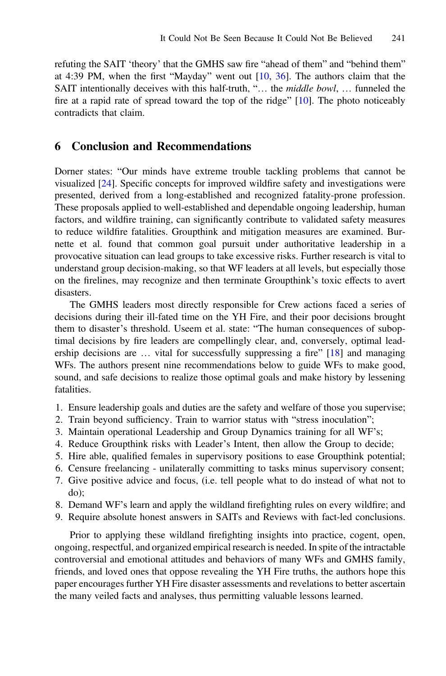refuting the SAIT 'theory' that the GMHS saw fire "ahead of them" and "behind them" at 4:39 PM, when the first "Mayday" went out [\[10](#page-11-0), [36\]](#page-12-0). The authors claim that the SAIT intentionally deceives with this half-truth, "... the *middle bowl*, ... funneled the fire at a rapid rate of spread toward the top of the ridge" [\[10](#page-11-0)]. The photo noticeably contradicts that claim.

# 6 Conclusion and Recommendations

Dorner states: "Our minds have extreme trouble tackling problems that cannot be visualized [[24\]](#page-12-0). Specific concepts for improved wildfire safety and investigations were presented, derived from a long-established and recognized fatality-prone profession. These proposals applied to well-established and dependable ongoing leadership, human factors, and wildfire training, can significantly contribute to validated safety measures to reduce wildfire fatalities. Groupthink and mitigation measures are examined. Burnette et al. found that common goal pursuit under authoritative leadership in a provocative situation can lead groups to take excessive risks. Further research is vital to understand group decision-making, so that WF leaders at all levels, but especially those on the firelines, may recognize and then terminate Groupthink's toxic effects to avert disasters.

The GMHS leaders most directly responsible for Crew actions faced a series of decisions during their ill-fated time on the YH Fire, and their poor decisions brought them to disaster's threshold. Useem et al. state: "The human consequences of suboptimal decisions by fire leaders are compellingly clear, and, conversely, optimal leadership decisions are … vital for successfully suppressing a fire" [\[18](#page-11-0)] and managing WFs. The authors present nine recommendations below to guide WFs to make good, sound, and safe decisions to realize those optimal goals and make history by lessening fatalities.

- 1. Ensure leadership goals and duties are the safety and welfare of those you supervise;
- 2. Train beyond sufficiency. Train to warrior status with "stress inoculation";
- 3. Maintain operational Leadership and Group Dynamics training for all WF's;
- 4. Reduce Groupthink risks with Leader's Intent, then allow the Group to decide;
- 5. Hire able, qualified females in supervisory positions to ease Groupthink potential;
- 6. Censure freelancing unilaterally committing to tasks minus supervisory consent;
- 7. Give positive advice and focus, (i.e. tell people what to do instead of what not to do);
- 8. Demand WF's learn and apply the wildland firefighting rules on every wildfire; and
- 9. Require absolute honest answers in SAITs and Reviews with fact-led conclusions.

Prior to applying these wildland firefighting insights into practice, cogent, open, ongoing, respectful, and organized empirical research is needed. In spite of the intractable controversial and emotional attitudes and behaviors of many WFs and GMHS family, friends, and loved ones that oppose revealing the YH Fire truths, the authors hope this paper encourages further YH Fire disaster assessments and revelations to better ascertain the many veiled facts and analyses, thus permitting valuable lessons learned.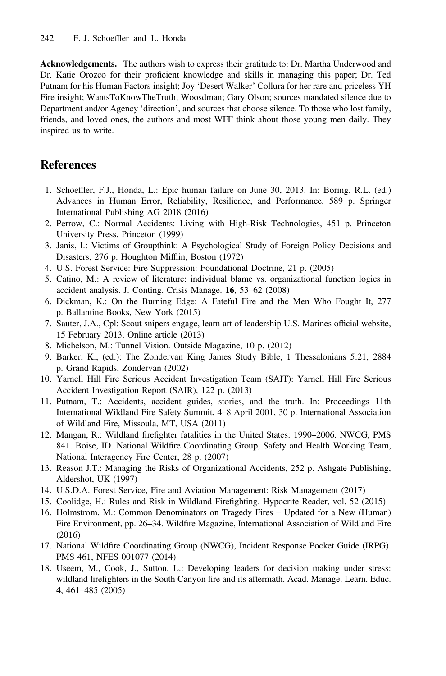<span id="page-11-0"></span>Acknowledgements. The authors wish to express their gratitude to: Dr. Martha Underwood and Dr. Katie Orozco for their proficient knowledge and skills in managing this paper; Dr. Ted Putnam for his Human Factors insight; Joy 'Desert Walker' Collura for her rare and priceless YH Fire insight; WantsToKnowTheTruth; Woosdman; Gary Olson; sources mandated silence due to Department and/or Agency 'direction', and sources that choose silence. To those who lost family, friends, and loved ones, the authors and most WFF think about those young men daily. They inspired us to write.

# References

- 1. Schoeffler, F.J., Honda, L.: Epic human failure on June 30, 2013. In: Boring, R.L. (ed.) Advances in Human Error, Reliability, Resilience, and Performance, 589 p. Springer International Publishing AG 2018 (2016)
- 2. Perrow, C.: Normal Accidents: Living with High-Risk Technologies, 451 p. Princeton University Press, Princeton (1999)
- 3. Janis, I.: Victims of Groupthink: A Psychological Study of Foreign Policy Decisions and Disasters, 276 p. Houghton Mifflin, Boston (1972)
- 4. U.S. Forest Service: Fire Suppression: Foundational Doctrine, 21 p. (2005)
- 5. Catino, M.: A review of literature: individual blame vs. organizational function logics in accident analysis. J. Conting. Crisis Manage. 16, 53–62 (2008)
- 6. Dickman, K.: On the Burning Edge: A Fateful Fire and the Men Who Fought It, 277 p. Ballantine Books, New York (2015)
- 7. Sauter, J.A., Cpl: Scout snipers engage, learn art of leadership U.S. Marines official website, 15 February 2013. Online article (2013)
- 8. Michelson, M.: Tunnel Vision. Outside Magazine, 10 p. (2012)
- 9. Barker, K., (ed.): The Zondervan King James Study Bible, 1 Thessalonians 5:21, 2884 p. Grand Rapids, Zondervan (2002)
- 10. Yarnell Hill Fire Serious Accident Investigation Team (SAIT): Yarnell Hill Fire Serious Accident Investigation Report (SAIR), 122 p. (2013)
- 11. Putnam, T.: Accidents, accident guides, stories, and the truth. In: Proceedings 11th International Wildland Fire Safety Summit, 4–8 April 2001, 30 p. International Association of Wildland Fire, Missoula, MT, USA (2011)
- 12. Mangan, R.: Wildland firefighter fatalities in the United States: 1990–2006. NWCG, PMS 841. Boise, ID. National Wildfire Coordinating Group, Safety and Health Working Team, National Interagency Fire Center, 28 p. (2007)
- 13. Reason J.T.: Managing the Risks of Organizational Accidents, 252 p. Ashgate Publishing, Aldershot, UK (1997)
- 14. U.S.D.A. Forest Service, Fire and Aviation Management: Risk Management (2017)
- 15. Coolidge, H.: Rules and Risk in Wildland Firefighting. Hypocrite Reader, vol. 52 (2015)
- 16. Holmstrom, M.: Common Denominators on Tragedy Fires Updated for a New (Human) Fire Environment, pp. 26–34. Wildfire Magazine, International Association of Wildland Fire (2016)
- 17. National Wildfire Coordinating Group (NWCG), Incident Response Pocket Guide (IRPG). PMS 461, NFES 001077 (2014)
- 18. Useem, M., Cook, J., Sutton, L.: Developing leaders for decision making under stress: wildland firefighters in the South Canyon fire and its aftermath. Acad. Manage. Learn. Educ. 4, 461–485 (2005)